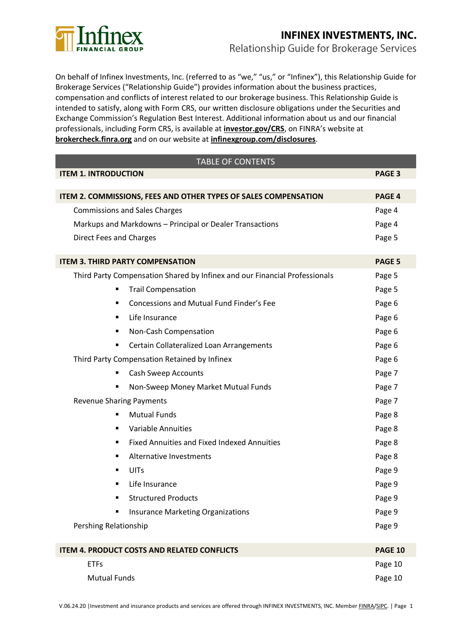

# **INFINEX INVESTMENTS, INC.** Relationship Guide for Brokerage Services

On behalf of Infinex Investments, Inc. (referred to as "we," "us," or "Infinex"), this Relationship Guide for Brokerage Services ("Relationship Guide") provides information about the business practices, compensation and conflicts of interest related to our brokerage business. This Relationship Guide is intended to satisfy, along with Form CRS, our written disclosure obligations under the Securities and Exchange Commission's Regulation Best Interest. Additional information about us and our financial professionals, including Form CRS, is available at **[investor.gov/CRS](https://www.investor.gov/CRS)**, on FINRA's website at **[brokercheck.finra.org](http://brokercheck.finra.org/)** and on our website at **[infinexgroup.com/disclosures](https://www.infinexgroup.com/disclosures)**.

| <b>TABLE OF CONTENTS</b>                                                   |                |  |
|----------------------------------------------------------------------------|----------------|--|
| <b>ITEM 1. INTRODUCTION</b>                                                | <b>PAGE 3</b>  |  |
|                                                                            |                |  |
| ITEM 2. COMMISSIONS, FEES AND OTHER TYPES OF SALES COMPENSATION            | PAGE 4         |  |
| <b>Commissions and Sales Charges</b>                                       | Page 4         |  |
| Markups and Markdowns - Principal or Dealer Transactions                   | Page 4         |  |
| <b>Direct Fees and Charges</b>                                             | Page 5         |  |
| <b>ITEM 3. THIRD PARTY COMPENSATION</b>                                    | PAGE 5         |  |
| Third Party Compensation Shared by Infinex and our Financial Professionals | Page 5         |  |
| <b>Trail Compensation</b>                                                  | Page 5         |  |
| Concessions and Mutual Fund Finder's Fee                                   | Page 6         |  |
| Life Insurance                                                             | Page 6         |  |
| Non-Cash Compensation                                                      | Page 6         |  |
| Certain Collateralized Loan Arrangements                                   | Page 6         |  |
| Third Party Compensation Retained by Infinex                               | Page 6         |  |
| Cash Sweep Accounts                                                        | Page 7         |  |
| Non-Sweep Money Market Mutual Funds                                        | Page 7         |  |
| <b>Revenue Sharing Payments</b>                                            | Page 7         |  |
| <b>Mutual Funds</b>                                                        | Page 8         |  |
| <b>Variable Annuities</b>                                                  | Page 8         |  |
| <b>Fixed Annuities and Fixed Indexed Annuities</b>                         | Page 8         |  |
| Alternative Investments                                                    | Page 8         |  |
| UITs                                                                       | Page 9         |  |
| Life Insurance                                                             | Page 9         |  |
| Structured Products                                                        | Page 9         |  |
| Insurance Marketing Organizations                                          | Page 9         |  |
| Pershing Relationship                                                      | Page 9         |  |
|                                                                            |                |  |
| <b>ITEM 4. PRODUCT COSTS AND RELATED CONFLICTS</b>                         | <b>PAGE 10</b> |  |
| <b>ETFs</b>                                                                | Page 10        |  |
| <b>Mutual Funds</b>                                                        | Page 10        |  |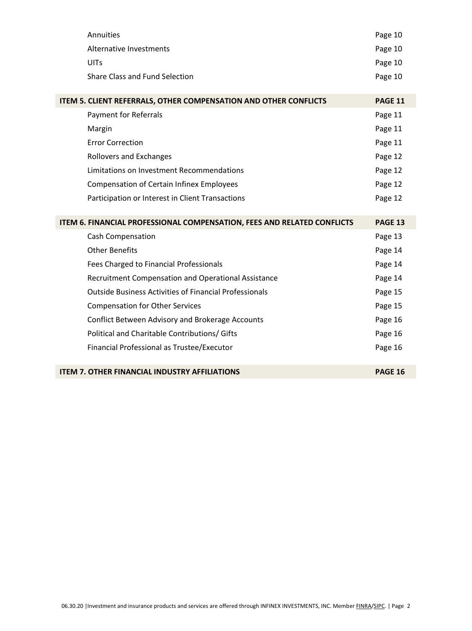| Annuities                                                               | Page 10        |
|-------------------------------------------------------------------------|----------------|
| <b>Alternative Investments</b>                                          | Page 10        |
| <b>UITs</b>                                                             | Page 10        |
| Share Class and Fund Selection                                          | Page 10        |
|                                                                         |                |
| ITEM 5. CLIENT REFERRALS, OTHER COMPENSATION AND OTHER CONFLICTS        | <b>PAGE 11</b> |
| Payment for Referrals                                                   | Page 11        |
| Margin                                                                  | Page 11        |
| <b>Error Correction</b>                                                 | Page 11        |
| <b>Rollovers and Exchanges</b>                                          | Page 12        |
| Limitations on Investment Recommendations                               | Page 12        |
| <b>Compensation of Certain Infinex Employees</b>                        | Page 12        |
| Participation or Interest in Client Transactions                        | Page 12        |
|                                                                         |                |
| ITEM 6. FINANCIAL PROFESSIONAL COMPENSATION, FEES AND RELATED CONFLICTS | <b>PAGE 13</b> |
| Cash Compensation                                                       | Page 13        |
| <b>Other Benefits</b>                                                   | Page 14        |
| Fees Charged to Financial Professionals                                 | Page 14        |
| Recruitment Compensation and Operational Assistance                     | Page 14        |
| <b>Outside Business Activities of Financial Professionals</b>           | Page 15        |
| <b>Compensation for Other Services</b>                                  | Page 15        |
| Conflict Between Advisory and Brokerage Accounts                        | Page 16        |
| Political and Charitable Contributions/ Gifts                           | Page 16        |
| Financial Professional as Trustee/Executor                              | Page 16        |
|                                                                         |                |
| <b>ITEM 7. OTHER FINANCIAL INDUSTRY AFFILIATIONS</b>                    | <b>PAGE 16</b> |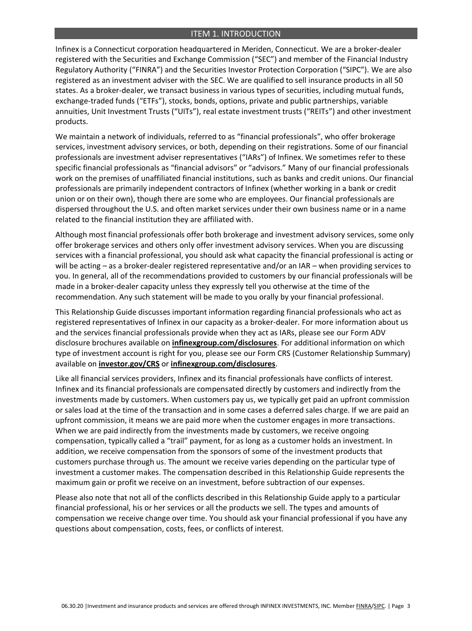#### ITEM 1. INTRODUCTION

 Infinex is a Connecticut corporation headquartered in Meriden, Connecticut. We are a broker-dealer registered with the Securities and Exchange Commission ("SEC") and member of the Financial Industry Regulatory Authority ("FINRA") and the Securities Investor Protection Corporation ("SIPC"). We are also registered as an investment adviser with the SEC. We are qualified to sell insurance products in all 50 states. As a broker-dealer, we transact business in various types of securities, including mutual funds, exchange-traded funds ("ETFs"), stocks, bonds, options, private and public partnerships, variable annuities, Unit Investment Trusts ("UITs"), real estate investment trusts ("REITs") and other investment products.

 We maintain a network of individuals, referred to as "financial professionals", who offer brokerage services, investment advisory services, or both, depending on their registrations. Some of our financial professionals are investment adviser representatives ("IARs") of Infinex. We sometimes refer to these specific financial professionals as "financial advisors" or "advisors." Many of our financial professionals work on the premises of unaffiliated financial institutions, such as banks and credit unions. Our financial professionals are primarily independent contractors of Infinex (whether working in a bank or credit union or on their own), though there are some who are employees. Our financial professionals are dispersed throughout the U.S. and often market services under their own business name or in a name related to the financial institution they are affiliated with.

 Although most financial professionals offer both brokerage and investment advisory services, some only offer brokerage services and others only offer investment advisory services. When you are discussing services with a financial professional, you should ask what capacity the financial professional is acting or will be acting – as a broker-dealer registered representative and/or an IAR – when providing services to you. In general, all of the recommendations provided to customers by our financial professionals will be made in a broker-dealer capacity unless they expressly tell you otherwise at the time of the recommendation. Any such statement will be made to you orally by your financial professional.

 This Relationship Guide discusses important information regarding financial professionals who act as registered representatives of Infinex in our capacity as a broker-dealer. For more information about us and the services financial professionals provide when they act as IARs, please see our Form ADV disclosure brochures available on **[infinexgroup.com/disclosures](https://www.infinexgroup.com/disclosures)**. For additional information on which type of investment account is right for you, please see our Form CRS (Customer Relationship Summary) available on **[investor.gov/CRS](https://www.investor.gov/CRS)** or **[infinexgroup.com/disclosures](https://www.infinexgroup.com/disclosures)**.

 Like all financial services providers, Infinex and its financial professionals have conflicts of interest. Infinex and its financial professionals are compensated directly by customers and indirectly from the investments made by customers. When customers pay us, we typically get paid an upfront commission or sales load at the time of the transaction and in some cases a deferred sales charge. If we are paid an upfront commission, it means we are paid more when the customer engages in more transactions. When we are paid indirectly from the investments made by customers, we receive ongoing compensation, typically called a "trail" payment, for as long as a customer holds an investment. In addition, we receive compensation from the sponsors of some of the investment products that customers purchase through us. The amount we receive varies depending on the particular type of investment a customer makes. The compensation described in this Relationship Guide represents the maximum gain or profit we receive on an investment, before subtraction of our expenses.

 Please also note that not all of the conflicts described in this Relationship Guide apply to a particular financial professional, his or her services or all the products we sell. The types and amounts of compensation we receive change over time. You should ask your financial professional if you have any questions about compensation, costs, fees, or conflicts of interest.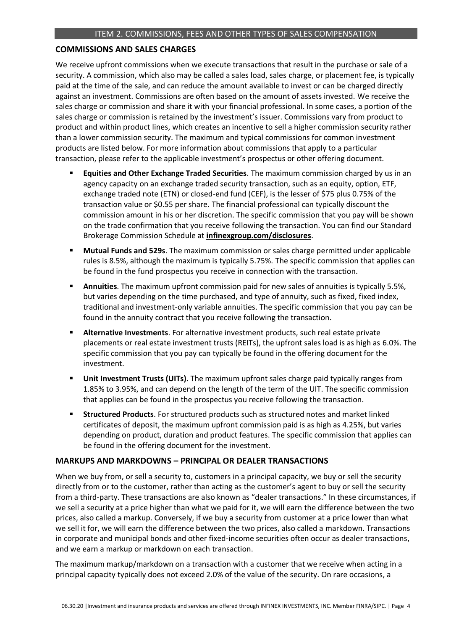## **COMMISSIONS AND SALES CHARGES**

 We receive upfront commissions when we execute transactions that result in the purchase or sale of a security. A commission, which also may be called a sales load, sales charge, or placement fee, is typically paid at the time of the sale, and can reduce the amount available to invest or can be charged directly against an investment. Commissions are often based on the amount of assets invested. We receive the sales charge or commission and share it with your financial professional. In some cases, a portion of the sales charge or commission is retained by the investment's issuer. Commissions vary from product to product and within product lines, which creates an incentive to sell a higher commission security rather than a lower commission security. The maximum and typical commissions for common investment products are listed below. For more information about commissions that apply to a particular transaction, please refer to the applicable investment's prospectus or other offering document.

- **Equities and Other Exchange Traded Securities**. The maximum commission charged by us in an agency capacity on an exchange traded security transaction, such as an equity, option, ETF, exchange traded note (ETN) or closed-end fund (CEF), is the lesser of \$75 plus 0.75% of the transaction value or \$0.55 per share. The financial professional can typically discount the commission amount in his or her discretion. The specific commission that you pay will be shown on the trade confirmation that you receive following the transaction. You can find our Standard Brokerage Commission Schedule at **[infinexgroup.com/disclosures](https://www.infinexgroup.com/disclosures)**.
- **Mutual Funds and 529s**. The maximum commission or sales charge permitted under applicable rules is 8.5%, although the maximum is typically 5.75%. The specific commission that applies can be found in the fund prospectus you receive in connection with the transaction.
- ▪ **Annuities**. The maximum upfront commission paid for new sales of annuities is typically 5.5%, but varies depending on the time purchased, and type of annuity, such as fixed, fixed index, traditional and investment-only variable annuities. The specific commission that you pay can be found in the annuity contract that you receive following the transaction.
- ▪ **Alternative Investments**. For alternative investment products, such real estate private placements or real estate investment trusts (REITs), the upfront sales load is as high as 6.0%. The specific commission that you pay can typically be found in the offering document for the investment.
- ▪ **Unit Investment Trusts (UITs)**. The maximum upfront sales charge paid typically ranges from 1.85% to 3.95%, and can depend on the length of the term of the UIT. The specific commission that applies can be found in the prospectus you receive following the transaction.
- **EXTER Structured Products**. For structured products such as structured notes and market linked certificates of deposit, the maximum upfront commission paid is as high as 4.25%, but varies depending on product, duration and product features. The specific commission that applies can be found in the offering document for the investment.

## **MARKUPS AND MARKDOWNS – PRINCIPAL OR DEALER TRANSACTIONS**

 When we buy from, or sell a security to, customers in a principal capacity, we buy or sell the security directly from or to the customer, rather than acting as the customer's agent to buy or sell the security from a third-party. These transactions are also known as "dealer transactions." In these circumstances, if we sell a security at a price higher than what we paid for it, we will earn the difference between the two prices, also called a markup. Conversely, if we buy a security from customer at a price lower than what we sell it for, we will earn the difference between the two prices, also called a markdown. Transactions in corporate and municipal bonds and other fixed-income securities often occur as dealer transactions, and we earn a markup or markdown on each transaction.

 The maximum markup/markdown on a transaction with a customer that we receive when acting in a principal capacity typically does not exceed 2.0% of the value of the security. On rare occasions, a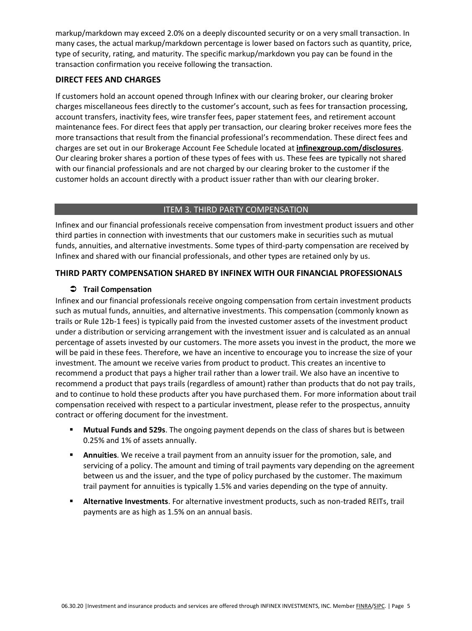markup/markdown may exceed 2.0% on a deeply discounted security or on a very small transaction. In many cases, the actual markup/markdown percentage is lower based on factors such as quantity, price, type of security, rating, and maturity. The specific markup/markdown you pay can be found in the transaction confirmation you receive following the transaction.

### **DIRECT FEES AND CHARGES**

 If customers hold an account opened through Infinex with our clearing broker, our clearing broker charges miscellaneous fees directly to the customer's account, such as fees for transaction processing, account transfers, inactivity fees, wire transfer fees, paper statement fees, and retirement account maintenance fees. For direct fees that apply per transaction, our clearing broker receives more fees the more transactions that result from the financial professional's recommendation. These direct fees and charges are set out in our Brokerage Account Fee Schedule located at **[infinexgroup.com/disclosures](https://www.infinexgroup.com/disclosures)**. Our clearing broker shares a portion of these types of fees with us. These fees are typically not shared with our financial professionals and are not charged by our clearing broker to the customer if the customer holds an account directly with a product issuer rather than with our clearing broker.

#### ITEM 3. THIRD PARTY COMPENSATION

 Infinex and our financial professionals receive compensation from investment product issuers and other third parties in connection with investments that our customers make in securities such as mutual funds, annuities, and alternative investments. Some types of third-party compensation are received by Infinex and shared with our financial professionals, and other types are retained only by us.

## **THIRD PARTY COMPENSATION SHARED BY INFINEX WITH OUR FINANCIAL PROFESSIONALS**

#### **Trail Compensation**

 Infinex and our financial professionals receive ongoing compensation from certain investment products such as mutual funds, annuities, and alternative investments. This compensation (commonly known as trails or Rule 12b-1 fees) is typically paid from the invested customer assets of the investment product under a distribution or servicing arrangement with the investment issuer and is calculated as an annual percentage of assets invested by our customers. The more assets you invest in the product, the more we will be paid in these fees. Therefore, we have an incentive to encourage you to increase the size of your investment. The amount we receive varies from product to product. This creates an incentive to recommend a product that pays a higher trail rather than a lower trail. We also have an incentive to recommend a product that pays trails (regardless of amount) rather than products that do not pay trails, and to continue to hold these products after you have purchased them. For more information about trail compensation received with respect to a particular investment, please refer to the prospectus, annuity contract or offering document for the investment.

- **Mutual Funds and 529s**. The ongoing payment depends on the class of shares but is between 0.25% and 1% of assets annually.
- **E** Annuities. We receive a trail payment from an annuity issuer for the promotion, sale, and servicing of a policy. The amount and timing of trail payments vary depending on the agreement between us and the issuer, and the type of policy purchased by the customer. The maximum trail payment for annuities is typically 1.5% and varies depending on the type of annuity.
- ▪ **Alternative Investments**. For alternative investment products, such as non-traded REITs, trail payments are as high as 1.5% on an annual basis.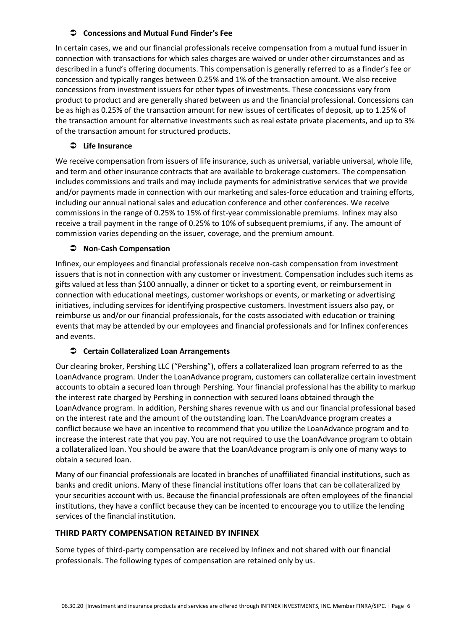#### **Concessions and Mutual Fund Finder's Fee**

 In certain cases, we and our financial professionals receive compensation from a mutual fund issuer in connection with transactions for which sales charges are waived or under other circumstances and as described in a fund's offering documents. This compensation is generally referred to as a finder's fee or concession and typically ranges between 0.25% and 1% of the transaction amount. We also receive concessions from investment issuers for other types of investments. These concessions vary from product to product and are generally shared between us and the financial professional. Concessions can be as high as 0.25% of the transaction amount for new issues of certificates of deposit, up to 1.25% of the transaction amount for alternative investments such as real estate private placements, and up to 3% of the transaction amount for structured products.

## **Life Insurance**

 We receive compensation from issuers of life insurance, such as universal, variable universal, whole life, and term and other insurance contracts that are available to brokerage customers. The compensation includes commissions and trails and may include payments for administrative services that we provide and/or payments made in connection with our marketing and sales-force education and training efforts, including our annual national sales and education conference and other conferences. We receive commissions in the range of 0.25% to 15% of first-year commissionable premiums. Infinex may also receive a trail payment in the range of 0.25% to 10% of subsequent premiums, if any. The amount of commission varies depending on the issuer, coverage, and the premium amount.

## **Non-Cash Compensation**

 Infinex, our employees and financial professionals receive non-cash compensation from investment issuers that is not in connection with any customer or investment. Compensation includes such items as gifts valued at less than \$100 annually, a dinner or ticket to a sporting event, or reimbursement in connection with educational meetings, customer workshops or events, or marketing or advertising initiatives, including services for identifying prospective customers. Investment issuers also pay, or reimburse us and/or our financial professionals, for the costs associated with education or training events that may be attended by our employees and financial professionals and for Infinex conferences and events.

## **Certain Collateralized Loan Arrangements**

 Our clearing broker, Pershing LLC ("Pershing"), offers a collateralized loan program referred to as the LoanAdvance program. Under the LoanAdvance program, customers can collateralize certain investment accounts to obtain a secured loan through Pershing. Your financial professional has the ability to markup the interest rate charged by Pershing in connection with secured loans obtained through the LoanAdvance program. In addition, Pershing shares revenue with us and our financial professional based on the interest rate and the amount of the outstanding loan. The LoanAdvance program creates a conflict because we have an incentive to recommend that you utilize the LoanAdvance program and to increase the interest rate that you pay. You are not required to use the LoanAdvance program to obtain a collateralized loan. You should be aware that the LoanAdvance program is only one of many ways to obtain a secured loan.

 Many of our financial professionals are located in branches of unaffiliated financial institutions, such as banks and credit unions. Many of these financial institutions offer loans that can be collateralized by your securities account with us. Because the financial professionals are often employees of the financial institutions, they have a conflict because they can be incented to encourage you to utilize the lending services of the financial institution.

## **THIRD PARTY COMPENSATION RETAINED BY INFINEX**

 Some types of third-party compensation are received by Infinex and not shared with our financial professionals. The following types of compensation are retained only by us.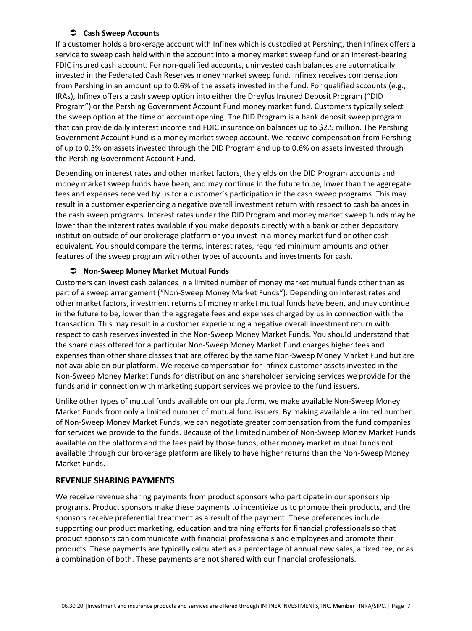#### **Cash Sweep Accounts**

 If a customer holds a brokerage account with Infinex which is custodied at Pershing, then Infinex offers a service to sweep cash held within the account into a money market sweep fund or an interest-bearing FDIC insured cash account. For non-qualified accounts, uninvested cash balances are automatically invested in the Federated Cash Reserves money market sweep fund. Infinex receives compensation from Pershing in an amount up to 0.6% of the assets invested in the fund. For qualified accounts (e.g., IRAs), Infinex offers a cash sweep option into either the Dreyfus Insured Deposit Program ("DID Program") or the Pershing Government Account Fund money market fund. Customers typically select the sweep option at the time of account opening. The DID Program is a bank deposit sweep program that can provide daily interest income and FDIC insurance on balances up to \$2.5 million. The Pershing Government Account Fund is a money market sweep account. We receive compensation from Pershing of up to 0.3% on assets invested through the DID Program and up to 0.6% on assets invested through the Pershing Government Account Fund.

 Depending on interest rates and other market factors, the yields on the DID Program accounts and money market sweep funds have been, and may continue in the future to be, lower than the aggregate fees and expenses received by us for a customer's participation in the cash sweep programs. This may result in a customer experiencing a negative overall investment return with respect to cash balances in the cash sweep programs. Interest rates under the DID Program and money market sweep funds may be lower than the interest rates available if you make deposits directly with a bank or other depository institution outside of our brokerage platform or you invest in a money market fund or other cash equivalent. You should compare the terms, interest rates, required minimum amounts and other features of the sweep program with other types of accounts and investments for cash.

## **Non-Sweep Money Market Mutual Funds**

 Customers can invest cash balances in a limited number of money market mutual funds other than as part of a sweep arrangement ("Non-Sweep Money Market Funds"). Depending on interest rates and other market factors, investment returns of money market mutual funds have been, and may continue in the future to be, lower than the aggregate fees and expenses charged by us in connection with the transaction. This may result in a customer experiencing a negative overall investment return with respect to cash reserves invested in the Non-Sweep Money Market Funds. You should understand that the share class offered for a particular Non-Sweep Money Market Fund charges higher fees and expenses than other share classes that are offered by the same Non-Sweep Money Market Fund but are not available on our platform. We receive compensation for Infinex customer assets invested in the Non-Sweep Money Market Funds for distribution and shareholder servicing services we provide for the funds and in connection with marketing support services we provide to the fund issuers.

 Unlike other types of mutual funds available on our platform, we make available Non-Sweep Money Market Funds from only a limited number of mutual fund issuers. By making available a limited number of Non-Sweep Money Market Funds, we can negotiate greater compensation from the fund companies for services we provide to the funds. Because of the limited number of Non-Sweep Money Market Funds available on the platform and the fees paid by those funds, other money market mutual funds not available through our brokerage platform are likely to have higher returns than the Non-Sweep Money Market Funds.

## **REVENUE SHARING PAYMENTS**

 We receive revenue sharing payments from product sponsors who participate in our sponsorship programs. Product sponsors make these payments to incentivize us to promote their products, and the sponsors receive preferential treatment as a result of the payment. These preferences include supporting our product marketing, education and training efforts for financial professionals so that product sponsors can communicate with financial professionals and employees and promote their products. These payments are typically calculated as a percentage of annual new sales, a fixed fee, or as a combination of both. These payments are not shared with our financial professionals.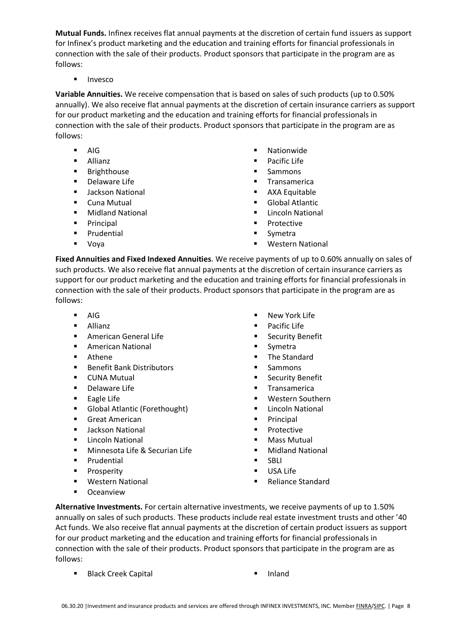**Mutual Funds.** Infinex receives flat annual payments at the discretion of certain fund issuers as support for Infinex's product marketing and the education and training efforts for financial professionals in connection with the sale of their products. Product sponsors that participate in the program are as follows:

■ Invesco

 **Variable Annuities.** We receive compensation that is based on sales of such products (up to 0.50% annually). We also receive flat annual payments at the discretion of certain insurance carriers as support for our product marketing and the education and training efforts for financial professionals in connection with the sale of their products. Product sponsors that participate in the program are as follows:

- 
- 
- Brighthouse ■ Sammons
- 
- Jackson National AXA Equitable
- 
- Midland National Lincoln National
- Principal Protective
- Prudential Symetra
- 
- AIG Nationwide
- Allianz **■** Pacific Life
	-
- Delaware Life Transamerica
	-
- Cuna Mutual Global Atlantic
	-
	-
	-
- Voya Western National

 **Fixed Annuities and Fixed Indexed Annuities.** We receive payments of up to 0.60% annually on sales of such products. We also receive flat annual payments at the discretion of certain insurance carriers as support for our product marketing and the education and training efforts for financial professionals in connection with the sale of their products. Product sponsors that participate in the program are as follows:

- 
- 
- American General Life Security Benefit
- American National Symetra
- 
- Benefit Bank Distributors Sammons
- 
- Delaware Life Transamerica
- 
- Global Atlantic (Forethought) Lincoln National
- Great American Principal
- **Jackson National Transformational Functional Function** Protective
- Lincoln National Mass Mutual
- Minnesota Life & Securian Life  **Midland National**
- Prudential SBLI
- 
- 
- Oceanview
- AIG New York Life
- Allianz **■** Pacific Life
	-
	-
- Athene The Standard
	-
- CUNA Mutual Security Benefit
	-
- Eagle Life  **Western Southern** 
	-
	-
	-
	-
	-
	-
	- Prosperity **Executive EXECUTE:** USA Life
- Western National Peliance Standard

 **Alternative Investments.** For certain alternative investments, we receive payments of up to 1.50% annually on sales of such products. These products include real estate investment trusts and other '40 Act funds. We also receive flat annual payments at the discretion of certain product issuers as support for our product marketing and the education and training efforts for financial professionals in connection with the sale of their products. Product sponsors that participate in the program are as follows:

- Black Creek Capital Inland
	-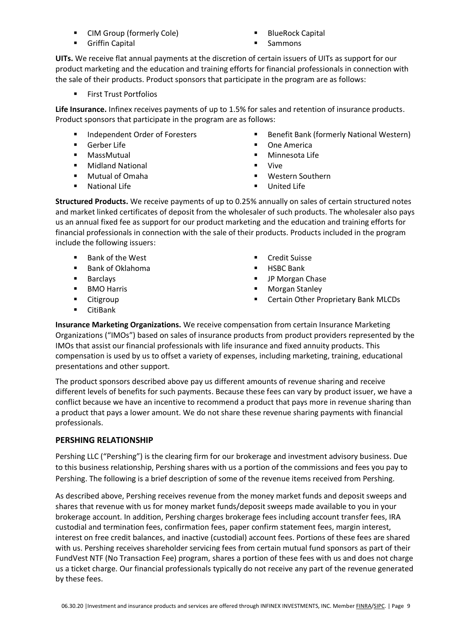- CIM Group (formerly Cole) BlueRock Capital
- Griffin Capital Sammons
- -

 **UITs.** We receive flat annual payments at the discretion of certain issuers of UITs as support for our product marketing and the education and training efforts for financial professionals in connection with the sale of their products. Product sponsors that participate in the program are as follows:

■ First Trust Portfolios

 **Life Insurance.** Infinex receives payments of up to 1.5% for sales and retention of insurance products. Product sponsors that participate in the program are as follows:

- Independent Order of Foresters
- 
- 
- Midland National Vive
- Mutual of Omaha
- National Life United Life
- Independent Order of Foresters Benefit Bank (formerly National Western)
- Gerber Life One America
- MassMutual Minnesota Life
	-
- Mutual of Omaha Western Southern
	-

 **Structured Products.** We receive payments of up to 0.25% annually on sales of certain structured notes and market linked certificates of deposit from the wholesaler of such products. The wholesaler also pays us an annual fixed fee as support for our product marketing and the education and training efforts for financial professionals in connection with the sale of their products. Products included in the program include the following issuers:

- Bank of the West **■** Credit Suisse
- Bank of Oklahoma HSBC Bank
- 
- 
- 
- CitiBank
- 
- 
- Barclays **■** JP Morgan Chase
- BMO Harris  **Morgan Stanley**
- Citigroup ■ Certain Other Proprietary Bank MLCDs

 **Insurance Marketing Organizations.** We receive compensation from certain Insurance Marketing Organizations ("IMOs") based on sales of insurance products from product providers represented by the IMOs that assist our financial professionals with life insurance and fixed annuity products. This compensation is used by us to offset a variety of expenses, including marketing, training, educational presentations and other support.

 The product sponsors described above pay us different amounts of revenue sharing and receive different levels of benefits for such payments. Because these fees can vary by product issuer, we have a conflict because we have an incentive to recommend a product that pays more in revenue sharing than a product that pays a lower amount. We do not share these revenue sharing payments with financial professionals.

## **PERSHING RELATIONSHIP**

 Pershing LLC ("Pershing") is the clearing firm for our brokerage and investment advisory business. Due to this business relationship, Pershing shares with us a portion of the commissions and fees you pay to Pershing. The following is a brief description of some of the revenue items received from Pershing.

 As described above, Pershing receives revenue from the money market funds and deposit sweeps and shares that revenue with us for money market funds/deposit sweeps made available to you in your brokerage account. In addition, Pershing charges brokerage fees including account transfer fees, IRA custodial and termination fees, confirmation fees, paper confirm statement fees, margin interest, interest on free credit balances, and inactive (custodial) account fees. Portions of these fees are shared with us. Pershing receives shareholder servicing fees from certain mutual fund sponsors as part of their FundVest NTF (No Transaction Fee) program, shares a portion of these fees with us and does not charge us a ticket charge. Our financial professionals typically do not receive any part of the revenue generated by these fees.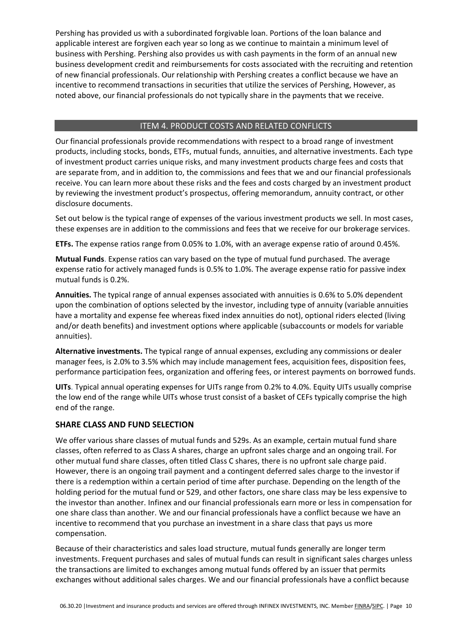Pershing has provided us with a subordinated forgivable loan. Portions of the loan balance and applicable interest are forgiven each year so long as we continue to maintain a minimum level of business with Pershing. Pershing also provides us with cash payments in the form of an annual new business development credit and reimbursements for costs associated with the recruiting and retention of new financial professionals. Our relationship with Pershing creates a conflict because we have an incentive to recommend transactions in securities that utilize the services of Pershing, However, as noted above, our financial professionals do not typically share in the payments that we receive.

## ITEM 4. PRODUCT COSTS AND RELATED CONFLICTS

 Our financial professionals provide recommendations with respect to a broad range of investment products, including stocks, bonds, ETFs, mutual funds, annuities, and alternative investments. Each type of investment product carries unique risks, and many investment products charge fees and costs that are separate from, and in addition to, the commissions and fees that we and our financial professionals receive. You can learn more about these risks and the fees and costs charged by an investment product by reviewing the investment product's prospectus, offering memorandum, annuity contract, or other disclosure documents.

 Set out below is the typical range of expenses of the various investment products we sell. In most cases, these expenses are in addition to the commissions and fees that we receive for our brokerage services.

**ETFs.** The expense ratios range from 0.05% to 1.0%, with an average expense ratio of around 0.45%.

 **Mutual Funds**. Expense ratios can vary based on the type of mutual fund purchased. The average expense ratio for actively managed funds is 0.5% to 1.0%. The average expense ratio for passive index mutual funds is 0.2%.

 **Annuities.** The typical range of annual expenses associated with annuities is 0.6% to 5.0% dependent upon the combination of options selected by the investor, including type of annuity (variable annuities have a mortality and expense fee whereas fixed index annuities do not), optional riders elected (living and/or death benefits) and investment options where applicable (subaccounts or models for variable annuities).

 **Alternative investments.** The typical range of annual expenses, excluding any commissions or dealer manager fees, is 2.0% to 3.5% which may include management fees, acquisition fees, disposition fees, performance participation fees, organization and offering fees, or interest payments on borrowed funds.

 **UITs**. Typical annual operating expenses for UITs range from 0.2% to 4.0%. Equity UITs usually comprise the low end of the range while UITs whose trust consist of a basket of CEFs typically comprise the high end of the range.

## **SHARE CLASS AND FUND SELECTION**

 We offer various share classes of mutual funds and 529s. As an example, certain mutual fund share classes, often referred to as Class A shares, charge an upfront sales charge and an ongoing trail. For other mutual fund share classes, often titled Class C shares, there is no upfront sale charge paid. However, there is an ongoing trail payment and a contingent deferred sales charge to the investor if there is a redemption within a certain period of time after purchase. Depending on the length of the holding period for the mutual fund or 529, and other factors, one share class may be less expensive to the investor than another. Infinex and our financial professionals earn more or less in compensation for one share class than another. We and our financial professionals have a conflict because we have an incentive to recommend that you purchase an investment in a share class that pays us more compensation.

 Because of their characteristics and sales load structure, mutual funds generally are longer term investments. Frequent purchases and sales of mutual funds can result in significant sales charges unless the transactions are limited to exchanges among mutual funds offered by an issuer that permits exchanges without additional sales charges. We and our financial professionals have a conflict because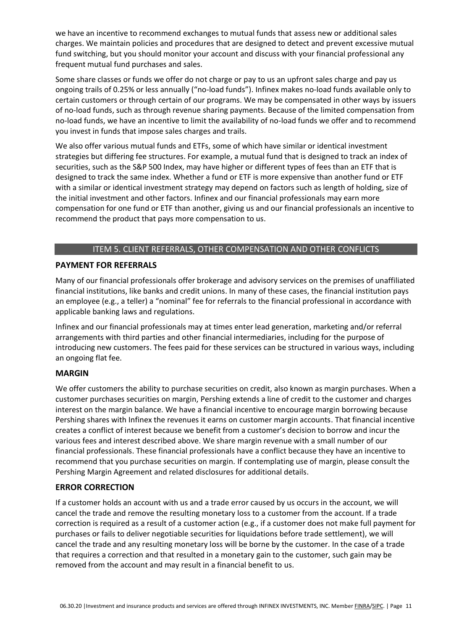we have an incentive to recommend exchanges to mutual funds that assess new or additional sales charges. We maintain policies and procedures that are designed to detect and prevent excessive mutual fund switching, but you should monitor your account and discuss with your financial professional any frequent mutual fund purchases and sales.

 Some share classes or funds we offer do not charge or pay to us an upfront sales charge and pay us ongoing trails of 0.25% or less annually ("no-load funds"). Infinex makes no-load funds available only to certain customers or through certain of our programs. We may be compensated in other ways by issuers of no-load funds, such as through revenue sharing payments. Because of the limited compensation from no-load funds, we have an incentive to limit the availability of no-load funds we offer and to recommend you invest in funds that impose sales charges and trails.

 We also offer various mutual funds and ETFs, some of which have similar or identical investment strategies but differing fee structures. For example, a mutual fund that is designed to track an index of securities, such as the S&P 500 Index, may have higher or different types of fees than an ETF that is designed to track the same index. Whether a fund or ETF is more expensive than another fund or ETF with a similar or identical investment strategy may depend on factors such as length of holding, size of the initial investment and other factors. Infinex and our financial professionals may earn more compensation for one fund or ETF than another, giving us and our financial professionals an incentive to recommend the product that pays more compensation to us.

#### ITEM 5. CLIENT REFERRALS, OTHER COMPENSATION AND OTHER CONFLICTS

## **PAYMENT FOR REFERRALS**

 Many of our financial professionals offer brokerage and advisory services on the premises of unaffiliated financial institutions, like banks and credit unions. In many of these cases, the financial institution pays an employee (e.g., a teller) a "nominal" fee for referrals to the financial professional in accordance with applicable banking laws and regulations.

 Infinex and our financial professionals may at times enter lead generation, marketing and/or referral arrangements with third parties and other financial intermediaries, including for the purpose of introducing new customers. The fees paid for these services can be structured in various ways, including an ongoing flat fee.

#### **MARGIN**

 We offer customers the ability to purchase securities on credit, also known as margin purchases. When a customer purchases securities on margin, Pershing extends a line of credit to the customer and charges interest on the margin balance. We have a financial incentive to encourage margin borrowing because Pershing shares with Infinex the revenues it earns on customer margin accounts. That financial incentive creates a conflict of interest because we benefit from a customer's decision to borrow and incur the various fees and interest described above. We share margin revenue with a small number of our financial professionals. These financial professionals have a conflict because they have an incentive to recommend that you purchase securities on margin. If contemplating use of margin, please consult the Pershing Margin Agreement and related disclosures for additional details.

#### **ERROR CORRECTION**

 If a customer holds an account with us and a trade error caused by us occurs in the account, we will cancel the trade and remove the resulting monetary loss to a customer from the account. If a trade correction is required as a result of a customer action (e.g., if a customer does not make full payment for purchases or fails to deliver negotiable securities for liquidations before trade settlement), we will cancel the trade and any resulting monetary loss will be borne by the customer. In the case of a trade that requires a correction and that resulted in a monetary gain to the customer, such gain may be removed from the account and may result in a financial benefit to us.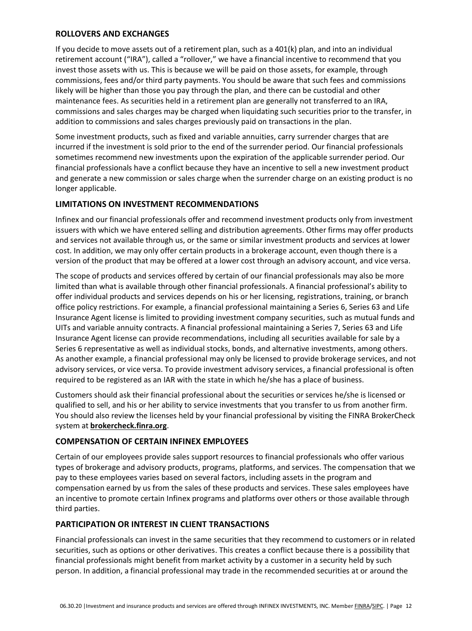### **ROLLOVERS AND EXCHANGES**

 If you decide to move assets out of a retirement plan, such as a 401(k) plan, and into an individual retirement account ("IRA"), called a "rollover," we have a financial incentive to recommend that you invest those assets with us. This is because we will be paid on those assets, for example, through commissions, fees and/or third party payments. You should be aware that such fees and commissions likely will be higher than those you pay through the plan, and there can be custodial and other maintenance fees. As securities held in a retirement plan are generally not transferred to an IRA, commissions and sales charges may be charged when liquidating such securities prior to the transfer, in addition to commissions and sales charges previously paid on transactions in the plan.

 Some investment products, such as fixed and variable annuities, carry surrender charges that are incurred if the investment is sold prior to the end of the surrender period. Our financial professionals sometimes recommend new investments upon the expiration of the applicable surrender period. Our financial professionals have a conflict because they have an incentive to sell a new investment product and generate a new commission or sales charge when the surrender charge on an existing product is no longer applicable.

## **LIMITATIONS ON INVESTMENT RECOMMENDATIONS**

 Infinex and our financial professionals offer and recommend investment products only from investment issuers with which we have entered selling and distribution agreements. Other firms may offer products and services not available through us, or the same or similar investment products and services at lower cost. In addition, we may only offer certain products in a brokerage account, even though there is a version of the product that may be offered at a lower cost through an advisory account, and vice versa.

 The scope of products and services offered by certain of our financial professionals may also be more limited than what is available through other financial professionals. A financial professional's ability to offer individual products and services depends on his or her licensing, registrations, training, or branch office policy restrictions. For example, a financial professional maintaining a Series 6, Series 63 and Life Insurance Agent license is limited to providing investment company securities, such as mutual funds and UITs and variable annuity contracts. A financial professional maintaining a Series 7, Series 63 and Life Insurance Agent license can provide recommendations, including all securities available for sale by a Series 6 representative as well as individual stocks, bonds, and alternative investments, among others. As another example, a financial professional may only be licensed to provide brokerage services, and not advisory services, or vice versa. To provide investment advisory services, a financial professional is often required to be registered as an IAR with the state in which he/she has a place of business.

 Customers should ask their financial professional about the securities or services he/she is licensed or qualified to sell, and his or her ability to service investments that you transfer to us from another firm. You should also review the licenses held by your financial professional by visiting the FINRA BrokerCheck system at **[brokercheck.finra.org](https://brokercheck.finra.org/)**.

## **COMPENSATION OF CERTAIN INFINEX EMPLOYEES**

 Certain of our employees provide sales support resources to financial professionals who offer various types of brokerage and advisory products, programs, platforms, and services. The compensation that we pay to these employees varies based on several factors, including assets in the program and compensation earned by us from the sales of these products and services. These sales employees have an incentive to promote certain Infinex programs and platforms over others or those available through third parties.

#### **PARTICIPATION OR INTEREST IN CLIENT TRANSACTIONS**

 Financial professionals can invest in the same securities that they recommend to customers or in related securities, such as options or other derivatives. This creates a conflict because there is a possibility that financial professionals might benefit from market activity by a customer in a security held by such person. In addition, a financial professional may trade in the recommended securities at or around the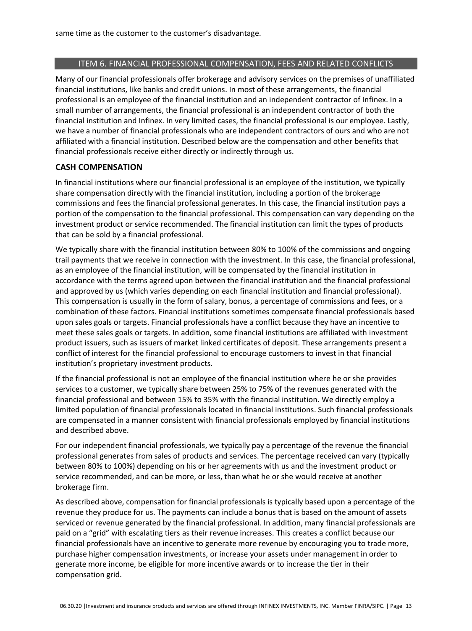#### ITEM 6. FINANCIAL PROFESSIONAL COMPENSATION, FEES AND RELATED CONFLICTS

 Many of our financial professionals offer brokerage and advisory services on the premises of unaffiliated financial institutions, like banks and credit unions. In most of these arrangements, the financial professional is an employee of the financial institution and an independent contractor of Infinex. In a small number of arrangements, the financial professional is an independent contractor of both the financial institution and Infinex. In very limited cases, the financial professional is our employee. Lastly, we have a number of financial professionals who are independent contractors of ours and who are not affiliated with a financial institution. Described below are the compensation and other benefits that financial professionals receive either directly or indirectly through us.

#### **CASH COMPENSATION**

 In financial institutions where our financial professional is an employee of the institution, we typically share compensation directly with the financial institution, including a portion of the brokerage commissions and fees the financial professional generates. In this case, the financial institution pays a portion of the compensation to the financial professional. This compensation can vary depending on the investment product or service recommended. The financial institution can limit the types of products that can be sold by a financial professional.

 We typically share with the financial institution between 80% to 100% of the commissions and ongoing trail payments that we receive in connection with the investment. In this case, the financial professional, as an employee of the financial institution, will be compensated by the financial institution in accordance with the terms agreed upon between the financial institution and the financial professional and approved by us (which varies depending on each financial institution and financial professional). This compensation is usually in the form of salary, bonus, a percentage of commissions and fees, or a combination of these factors. Financial institutions sometimes compensate financial professionals based upon sales goals or targets. Financial professionals have a conflict because they have an incentive to meet these sales goals or targets. In addition, some financial institutions are affiliated with investment product issuers, such as issuers of market linked certificates of deposit. These arrangements present a conflict of interest for the financial professional to encourage customers to invest in that financial institution's proprietary investment products.

 If the financial professional is not an employee of the financial institution where he or she provides services to a customer, we typically share between 25% to 75% of the revenues generated with the financial professional and between 15% to 35% with the financial institution. We directly employ a limited population of financial professionals located in financial institutions. Such financial professionals are compensated in a manner consistent with financial professionals employed by financial institutions and described above.

 For our independent financial professionals, we typically pay a percentage of the revenue the financial professional generates from sales of products and services. The percentage received can vary (typically between 80% to 100%) depending on his or her agreements with us and the investment product or service recommended, and can be more, or less, than what he or she would receive at another brokerage firm.

 As described above, compensation for financial professionals is typically based upon a percentage of the revenue they produce for us. The payments can include a bonus that is based on the amount of assets serviced or revenue generated by the financial professional. In addition, many financial professionals are paid on a "grid" with escalating tiers as their revenue increases. This creates a conflict because our financial professionals have an incentive to generate more revenue by encouraging you to trade more, purchase higher compensation investments, or increase your assets under management in order to generate more income, be eligible for more incentive awards or to increase the tier in their compensation grid.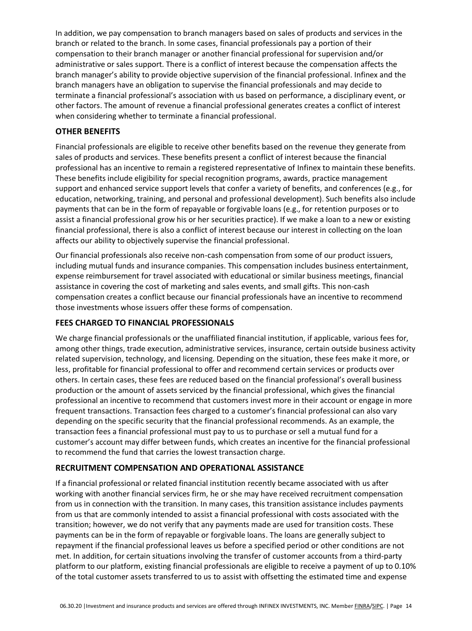In addition, we pay compensation to branch managers based on sales of products and services in the branch or related to the branch. In some cases, financial professionals pay a portion of their compensation to their branch manager or another financial professional for supervision and/or administrative or sales support. There is a conflict of interest because the compensation affects the branch manager's ability to provide objective supervision of the financial professional. Infinex and the branch managers have an obligation to supervise the financial professionals and may decide to terminate a financial professional's association with us based on performance, a disciplinary event, or other factors. The amount of revenue a financial professional generates creates a conflict of interest when considering whether to terminate a financial professional.

#### **OTHER BENEFITS**

 Financial professionals are eligible to receive other benefits based on the revenue they generate from sales of products and services. These benefits present a conflict of interest because the financial professional has an incentive to remain a registered representative of Infinex to maintain these benefits. These benefits include eligibility for special recognition programs, awards, practice management support and enhanced service support levels that confer a variety of benefits, and conferences (e.g., for education, networking, training, and personal and professional development). Such benefits also include payments that can be in the form of repayable or forgivable loans (e.g., for retention purposes or to assist a financial professional grow his or her securities practice). If we make a loan to a new or existing financial professional, there is also a conflict of interest because our interest in collecting on the loan affects our ability to objectively supervise the financial professional.

 Our financial professionals also receive non-cash compensation from some of our product issuers, including mutual funds and insurance companies. This compensation includes business entertainment, expense reimbursement for travel associated with educational or similar business meetings, financial assistance in covering the cost of marketing and sales events, and small gifts. This non-cash compensation creates a conflict because our financial professionals have an incentive to recommend those investments whose issuers offer these forms of compensation.

#### **FEES CHARGED TO FINANCIAL PROFESSIONALS**

 We charge financial professionals or the unaffiliated financial institution, if applicable, various fees for, among other things, trade execution, administrative services, insurance, certain outside business activity related supervision, technology, and licensing. Depending on the situation, these fees make it more, or less, profitable for financial professional to offer and recommend certain services or products over others. In certain cases, these fees are reduced based on the financial professional's overall business production or the amount of assets serviced by the financial professional, which gives the financial professional an incentive to recommend that customers invest more in their account or engage in more frequent transactions. Transaction fees charged to a customer's financial professional can also vary depending on the specific security that the financial professional recommends. As an example, the transaction fees a financial professional must pay to us to purchase or sell a mutual fund for a customer's account may differ between funds, which creates an incentive for the financial professional to recommend the fund that carries the lowest transaction charge.

## **RECRUITMENT COMPENSATION AND OPERATIONAL ASSISTANCE**

 If a financial professional or related financial institution recently became associated with us after working with another financial services firm, he or she may have received recruitment compensation from us in connection with the transition. In many cases, this transition assistance includes payments from us that are commonly intended to assist a financial professional with costs associated with the transition; however, we do not verify that any payments made are used for transition costs. These payments can be in the form of repayable or forgivable loans. The loans are generally subject to repayment if the financial professional leaves us before a specified period or other conditions are not met. In addition, for certain situations involving the transfer of customer accounts from a third-party platform to our platform, existing financial professionals are eligible to receive a payment of up to 0.10% of the total customer assets transferred to us to assist with offsetting the estimated time and expense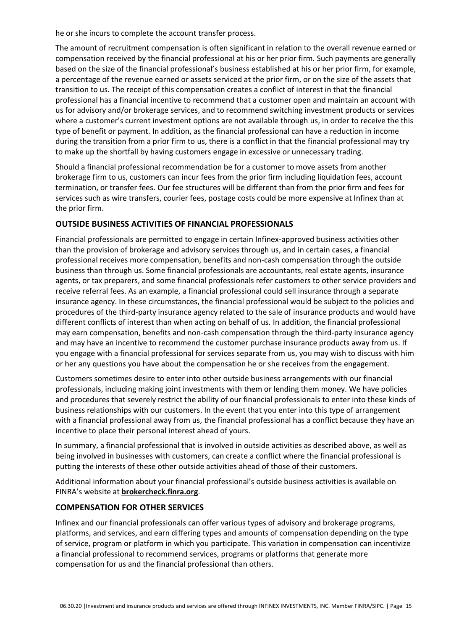he or she incurs to complete the account transfer process.

 The amount of recruitment compensation is often significant in relation to the overall revenue earned or compensation received by the financial professional at his or her prior firm. Such payments are generally based on the size of the financial professional's business established at his or her prior firm, for example, a percentage of the revenue earned or assets serviced at the prior firm, or on the size of the assets that transition to us. The receipt of this compensation creates a conflict of interest in that the financial professional has a financial incentive to recommend that a customer open and maintain an account with us for advisory and/or brokerage services, and to recommend switching investment products or services where a customer's current investment options are not available through us, in order to receive the this type of benefit or payment. In addition, as the financial professional can have a reduction in income during the transition from a prior firm to us, there is a conflict in that the financial professional may try to make up the shortfall by having customers engage in excessive or unnecessary trading.

 Should a financial professional recommendation be for a customer to move assets from another brokerage firm to us, customers can incur fees from the prior firm including liquidation fees, account termination, or transfer fees. Our fee structures will be different than from the prior firm and fees for services such as wire transfers, courier fees, postage costs could be more expensive at Infinex than at the prior firm.

## **OUTSIDE BUSINESS ACTIVITIES OF FINANCIAL PROFESSIONALS**

 Financial professionals are permitted to engage in certain Infinex-approved business activities other than the provision of brokerage and advisory services through us, and in certain cases, a financial professional receives more compensation, benefits and non-cash compensation through the outside business than through us. Some financial professionals are accountants, real estate agents, insurance agents, or tax preparers, and some financial professionals refer customers to other service providers and receive referral fees. As an example, a financial professional could sell insurance through a separate insurance agency. In these circumstances, the financial professional would be subject to the policies and procedures of the third-party insurance agency related to the sale of insurance products and would have different conflicts of interest than when acting on behalf of us. In addition, the financial professional may earn compensation, benefits and non-cash compensation through the third-party insurance agency and may have an incentive to recommend the customer purchase insurance products away from us. If you engage with a financial professional for services separate from us, you may wish to discuss with him or her any questions you have about the compensation he or she receives from the engagement.

 Customers sometimes desire to enter into other outside business arrangements with our financial professionals, including making joint investments with them or lending them money. We have policies and procedures that severely restrict the ability of our financial professionals to enter into these kinds of business relationships with our customers. In the event that you enter into this type of arrangement with a financial professional away from us, the financial professional has a conflict because they have an incentive to place their personal interest ahead of yours.

 In summary, a financial professional that is involved in outside activities as described above, as well as being involved in businesses with customers, can create a conflict where the financial professional is putting the interests of these other outside activities ahead of those of their customers.

 Additional information about your financial professional's outside business activities is available on FINRA's website at **[brokercheck.finra.org](https://brokercheck.finra.org/)**.

#### **COMPENSATION FOR OTHER SERVICES**

 Infinex and our financial professionals can offer various types of advisory and brokerage programs, platforms, and services, and earn differing types and amounts of compensation depending on the type of service, program or platform in which you participate. This variation in compensation can incentivize a financial professional to recommend services, programs or platforms that generate more compensation for us and the financial professional than others.